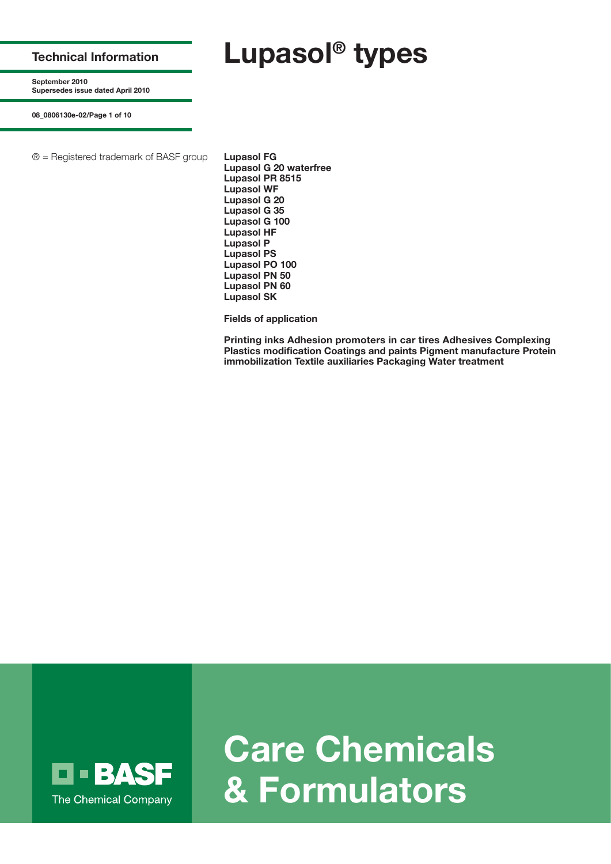**Technical Information**

**September 2010 Supersedes issue dated April 2010**

**08\_0806130e-02/Page 1 of 10**

® = Registered trademark of BASF group **Lupasol FG**

**Lupasol G 20 waterfree Lupasol PR 8515 Lupasol WF Lupasol G 20 Lupasol G 35 Lupasol G 100 Lupasol HF Lupasol P Lupasol PS Lupasol PO 100 Lupasol PN 50 Lupasol PN 60 Lupasol SK**

**Lupasol® types** 

**Fields of application**

**Printing inks Adhesion promoters in car tires Adhesives Complexing Plastics modification Coatings and paints Pigment manufacture Protein immobilization Textile auxiliaries Packaging Water treatment**



**Care Chemicals & Formulators**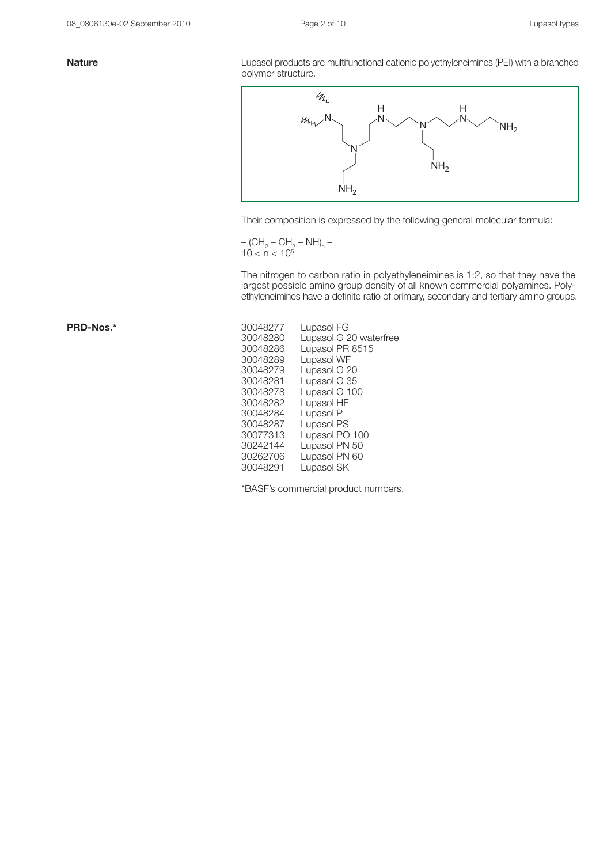**Nature Nature** Lupasol products are multifunctional cationic polyethyleneimines (PEI) with a branched polymer structure.



Their composition is expressed by the following general molecular formula:

$$
-(CH_2-CH_2-NH)_n-10 < n < 10^5
$$

The nitrogen to carbon ratio in polyethyleneimines is 1:2, so that they have the largest possible amino group density of all known commercial polyamines. Polyethyleneimines have a definite ratio of primary, secondary and tertiary amino groups.

| 30048277 | Lupasol FG             |
|----------|------------------------|
| 30048280 | Lupasol G 20 waterfree |
| 30048286 | Lupasol PR 8515        |
| 30048289 | Lupasol WF             |
| 30048279 | Lupasol G 20           |
| 30048281 | Lupasol G 35           |
| 30048278 | Lupasol G 100          |
| 30048282 | Lupasol HF             |
| 30048284 | Lupasol P              |
| 30048287 | Lupasol PS             |
| 30077313 | Lupasol PO 100         |
| 30242144 | Lupasol PN 50          |
| 30262706 | Lupasol PN 60          |
| 30048291 | Lupasol SK             |

\*BASF's commercial product numbers.

PRD-Nos.\*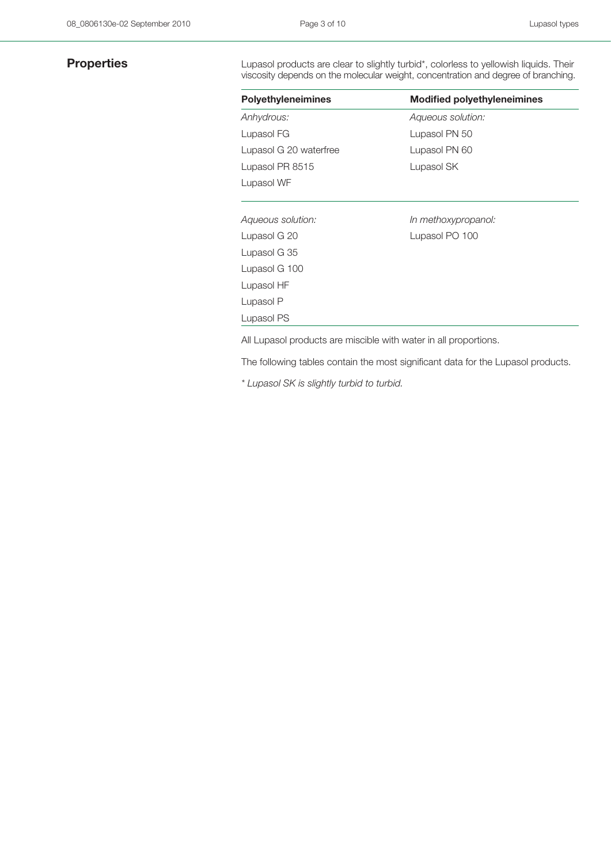**Properties** Lupasol products are clear to slightly turbid\*, colorless to yellowish liquids. Their viscosity depends on the molecular weight, concentration and degree of branching.

| <b>Polyethyleneimines</b> | <b>Modified polyethyleneimines</b> |
|---------------------------|------------------------------------|
| Anhydrous:                | Aqueous solution:                  |
| Lupasol FG                | Lupasol PN 50                      |
| Lupasol G 20 waterfree    | Lupasol PN 60                      |
| Lupasol PR 8515           | Lupasol SK                         |
| Lupasol WF                |                                    |
| Aqueous solution:         | In methoxypropanol:                |
| Lupasol G 20              | Lupasol PO 100                     |
| Lupasol G 35              |                                    |
| Lupasol G 100             |                                    |
| Lupasol HF                |                                    |
| Lupasol P                 |                                    |
| Lupasol PS                |                                    |

All Lupasol products are miscible with water in all proportions.

The following tables contain the most significant data for the Lupasol products.

*\* Lupasol SK is slightly turbid to turbid.*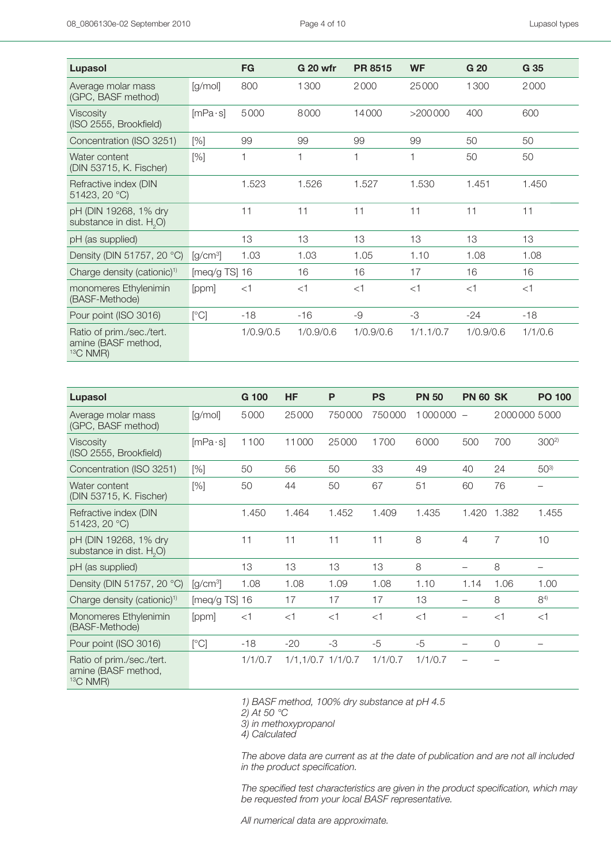| Lupasol                                                        |                  | <b>FG</b> | <b>G 20 wfr</b> | <b>PR 8515</b> | <b>WF</b> | G 20      | G 35    |
|----------------------------------------------------------------|------------------|-----------|-----------------|----------------|-----------|-----------|---------|
| Average molar mass<br>(GPC, BASF method)                       | [g/mol]          | 800       | 1300            | 2000           | 25000     | 1300      | 2000    |
| Viscosity<br>(ISO 2555, Brookfield)                            | $[mPa \cdot s]$  | 5000      | 8000            | 14000          | >200000   | 400       | 600     |
| Concentration (ISO 3251)                                       | [%]              | 99        | 99              | 99             | 99        | 50        | 50      |
| Water content<br>(DIN 53715, K. Fischer)                       | [%]              | 1         | 1               | 1              | 1         | 50        | 50      |
| Refractive index (DIN<br>51423, 20 °C)                         |                  | 1.523     | 1.526           | 1.527          | 1.530     | 1.451     | 1.450   |
| pH (DIN 19268, 1% dry<br>substance in dist. H <sub>2</sub> O)  |                  | 11        | 11              | 11             | 11        | 11        | 11      |
| pH (as supplied)                                               |                  | 13        | 13              | 13             | 13        | 13        | 13      |
| Density (DIN 51757, 20 °C)                                     | $[g/cm^3]$       | 1.03      | 1.03            | 1.05           | 1.10      | 1.08      | 1.08    |
| Charge density (cationic) <sup>1)</sup>                        | [ $meq/g$ TS] 16 |           | 16              | 16             | 17        | 16        | 16      |
| monomeres Ethylenimin<br>(BASF-Methode)                        | [ppm]            | $<$ 1     | $<$ 1           | $<$ 1          | $<$ 1     | $<$ 1     | $<$ 1   |
| Pour point (ISO 3016)                                          | [°C]             | $-18$     | $-16$           | -9             | -3        | $-24$     | $-18$   |
| Ratio of prim./sec./tert.<br>amine (BASF method,<br>$13C$ NMR) |                  | 1/0.9/0.5 | 1/0.9/0.6       | 1/0.9/0.6      | 1/1.1/0.7 | 1/0.9/0.6 | 1/1/0.6 |

| Lupasol                                                        |                               | G 100   | <b>HF</b>         | P      | <b>PS</b> | <b>PN 50</b> | <b>PN 60 SK</b>          |                | <b>PO 100</b>     |
|----------------------------------------------------------------|-------------------------------|---------|-------------------|--------|-----------|--------------|--------------------------|----------------|-------------------|
| Average molar mass<br>(GPC, BASF method)                       | [g/mol]                       | 5000    | 25000             | 750000 | 750000    | 1000000      | $\overline{\phantom{m}}$ | 2000000 5000   |                   |
| <b>Viscosity</b><br>(ISO 2555, Brookfield)                     | $[mPa \cdot s]$               | 1100    | 11000             | 25000  | 1700      | 6000         | 500                      | 700            | 300 <sup>2)</sup> |
| Concentration (ISO 3251)                                       | [%]                           | 50      | 56                | 50     | 33        | 49           | 40                       | 24             | 503)              |
| Water content<br>(DIN 53715, K. Fischer)                       | [%]                           | 50      | 44                | 50     | 67        | 51           | 60                       | 76             |                   |
| Refractive index (DIN<br>51423, 20 °C)                         |                               | 1.450   | 1.464             | 1.452  | 1.409     | 1.435        | 1.420                    | 1.382          | 1.455             |
| pH (DIN 19268, 1% dry<br>substance in dist. H <sub>2</sub> O)  |                               | 11      | 11                | 11     | 11        | 8            | 4                        | $\overline{7}$ | 10                |
| pH (as supplied)                                               |                               | 13      | 13                | 13     | 13        | 8            |                          | 8              | —                 |
| Density (DIN 51757, 20 °C)                                     | $\left[\frac{q}{cm^3}\right]$ | 1.08    | 1.08              | 1.09   | 1.08      | 1.10         | 1.14                     | 1.06           | 1.00              |
| Charge density (cationic) <sup>1)</sup>                        | [ $meq/g$ TS] 16              |         | 17                | 17     | 17        | 13           |                          | 8              | $8^{4)}$          |
| Monomeres Ethylenimin<br>(BASF-Methode)                        | [ppm]                         | $<$ 1   | $<$ 1             | $<$ 1  | $<$ 1     | $<$ 1        |                          | $<$ 1          | $<$ 1             |
| Pour point (ISO 3016)                                          | [°C]                          | $-18$   | $-20$             | $-3$   | $-5$      | $-5$         |                          | $\circ$        |                   |
| Ratio of prim./sec./tert.<br>amine (BASF method,<br>$13C$ NMR) |                               | 1/1/0.7 | 1/1,1/0.7 1/1/0.7 |        | 1/1/0.7   | 1/1/0.7      |                          |                |                   |

*1) BASF method, 100% dry substance at pH 4.5*

*2) At 50 °C*

*3) in methoxypropanol*

*4) Calculated*

*The above data are current as at the date of publication and are not all included in the product specification.* 

The specified test characteristics are given in the product specification, which may *be requested from your local BASF representative.*

*All numerical data are approximate.*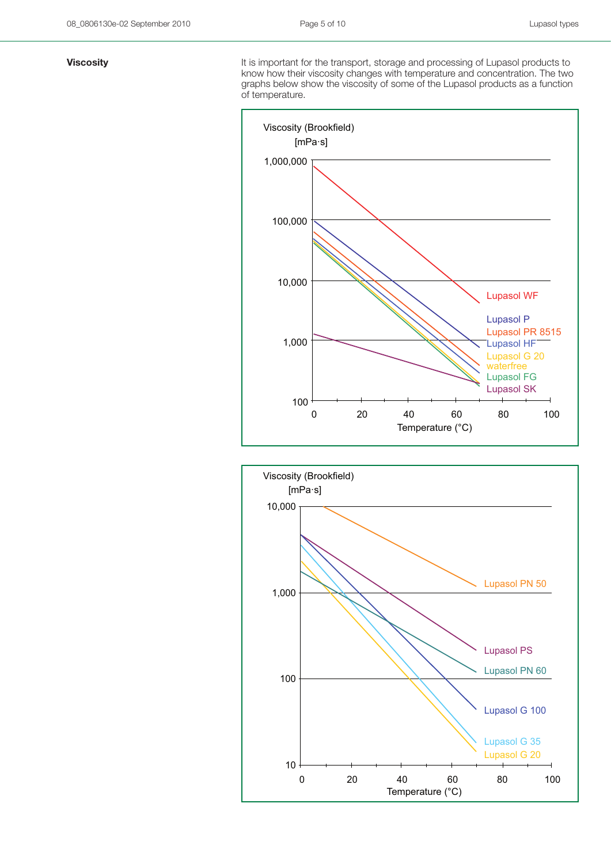**Viscosity Viscosity It is important for the transport, storage and processing of Lupasol products to** know how their viscosity changes with temperature and concentration. The two graphs below show the viscosity of some of the Lupasol products as a function of temperature.



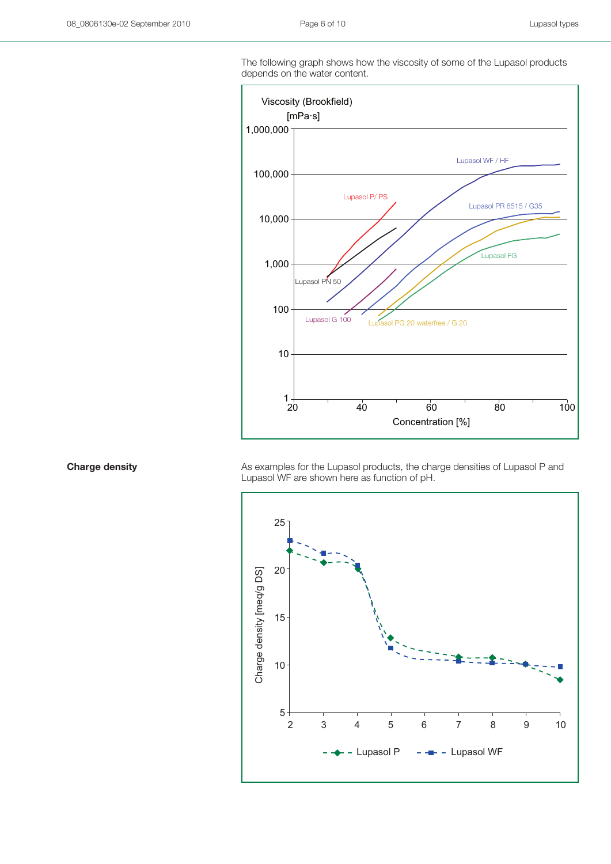The following graph shows how the viscosity of some of the Lupasol products depends on the water content.



**Charge density** As examples for the Lupasol products, the charge densities of Lupasol P and Conserved As examples for the Lupasol products, the charge densities of Lupasol P and Lupasol WF are shown here as function of pH.

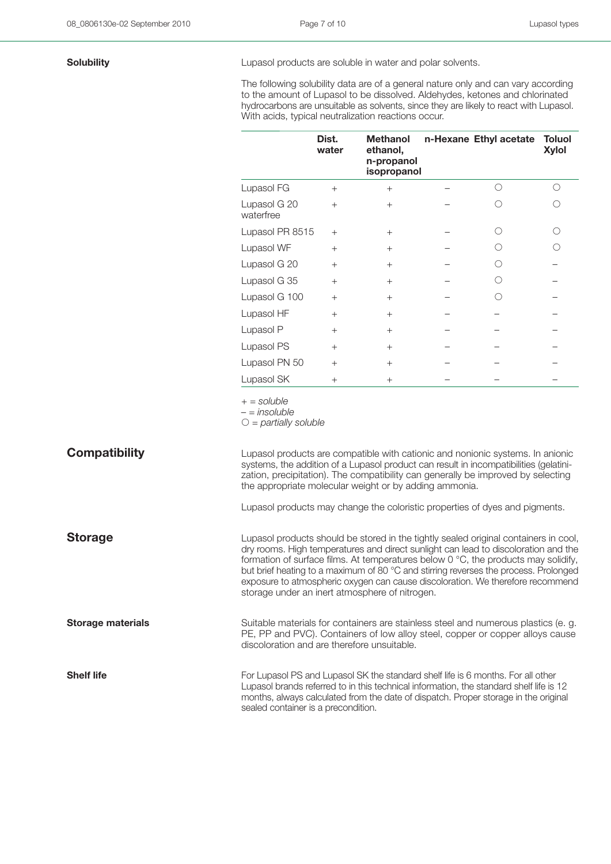**Solubility Example 20 Lupasol products are soluble in water and polar solvents.** 

The following solubility data are of a general nature only and can vary according to the amount of Lupasol to be dissolved. Aldehydes, ketones and chlorinated hydrocarbons are unsuitable as solvents, since they are likely to react with Lupasol. With acids, typical neutralization reactions occur.

|                           | Dist.<br>water | <b>Methanol</b><br>ethanol,<br>n-propanol<br>isopropanol | n-Hexane Ethyl acetate | <b>Toluol</b><br><b>Xylol</b> |
|---------------------------|----------------|----------------------------------------------------------|------------------------|-------------------------------|
| Lupasol FG                | $+$            | $^{+}$                                                   | ∩                      |                               |
| Lupasol G 20<br>waterfree | $+$            | $+$                                                      |                        |                               |
| Lupasol PR 8515           | $+$            | $+$                                                      |                        |                               |
| Lupasol WF                | $^{+}$         | $^{+}$                                                   |                        |                               |
| Lupasol G 20              | $+$            | $+$                                                      |                        |                               |
| Lupasol G 35              | $+$            | $^{+}$                                                   |                        |                               |
| Lupasol G 100             | $^{+}$         | $^{+}$                                                   |                        |                               |
| Lupasol HF                | $^{+}$         | $^{+}$                                                   |                        |                               |
| Lupasol P                 | $^{+}$         | $^{+}$                                                   |                        |                               |
| Lupasol PS                | $^{+}$         | $^{+}$                                                   |                        |                               |
| Lupasol PN 50             | $^{+}$         | $^{+}$                                                   |                        |                               |
| Lupasol SK                | $^{+}$         | $^{+}$                                                   |                        |                               |

*+ = soluble*

*– = insoluble*

- *= partially soluble*

**Compatibility Compatibility** Lupasol products are compatible with cationic and nonionic systems. In anionic systems, the addition of a Lupasol product can result in incompatibilities (gelatinization, precipitation). The compatibility can generally be improved by selecting the appropriate molecular weight or by adding ammonia.

Lupasol products may change the coloristic properties of dyes and pigments.

**Storage** Lupasol products should be stored in the tightly sealed original containers in cool,

formation of surface films. At temperatures below 0 °C, the products may solidify, but brief heating to a maximum of 80 °C and stirring reverses the process. Prolonged exposure to atmospheric oxygen can cause discoloration. We therefore recommend storage under an inert atmosphere of nitrogen.

dry rooms. High temperatures and direct sunlight can lead to discoloration and the

**Storage materials** Suitable materials for containers are stainless steel and numerous plastics (e. g. PE, PP and PVC). Containers of low alloy steel, copper or copper alloys cause discoloration and are therefore unsuitable.

**Shelf life** For Lupasol PS and Lupasol SK the standard shelf life is 6 months. For all other Lupasol brands referred to in this technical information, the standard shelf life is 12 months, always calculated from the date of dispatch. Proper storage in the original sealed container is a precondition.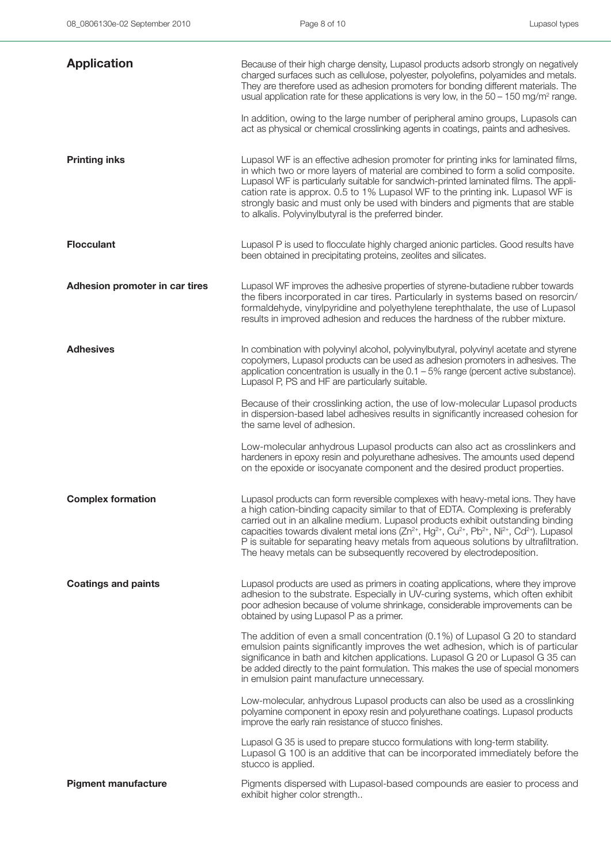| <b>Application</b>             | Because of their high charge density, Lupasol products adsorb strongly on negatively<br>charged surfaces such as cellulose, polyester, polyolefins, polyamides and metals.<br>They are therefore used as adhesion promoters for bonding different materials. The<br>usual application rate for these applications is very low, in the $50 - 150$ mg/m <sup>2</sup> range.<br>In addition, owing to the large number of peripheral amino groups, Lupasols can<br>act as physical or chemical crosslinking agents in coatings, paints and adhesives.                                           |
|--------------------------------|----------------------------------------------------------------------------------------------------------------------------------------------------------------------------------------------------------------------------------------------------------------------------------------------------------------------------------------------------------------------------------------------------------------------------------------------------------------------------------------------------------------------------------------------------------------------------------------------|
| <b>Printing inks</b>           | Lupasol WF is an effective adhesion promoter for printing inks for laminated films,<br>in which two or more layers of material are combined to form a solid composite.<br>Lupasol WF is particularly suitable for sandwich-printed laminated films. The appli-<br>cation rate is approx. 0.5 to 1% Lupasol WF to the printing ink. Lupasol WF is<br>strongly basic and must only be used with binders and pigments that are stable<br>to alkalis. Polyvinylbutyral is the preferred binder.                                                                                                  |
| <b>Flocculant</b>              | Lupasol P is used to flocculate highly charged anionic particles. Good results have<br>been obtained in precipitating proteins, zeolites and silicates.                                                                                                                                                                                                                                                                                                                                                                                                                                      |
| Adhesion promoter in car tires | Lupasol WF improves the adhesive properties of styrene-butadiene rubber towards<br>the fibers incorporated in car tires. Particularly in systems based on resorcin/<br>formaldehyde, vinylpyridine and polyethylene terephthalate, the use of Lupasol<br>results in improved adhesion and reduces the hardness of the rubber mixture.                                                                                                                                                                                                                                                        |
| <b>Adhesives</b>               | In combination with polyvinyl alcohol, polyvinylbutyral, polyvinyl acetate and styrene<br>copolymers, Lupasol products can be used as adhesion promoters in adhesives. The<br>application concentration is usually in the $0.1 - 5\%$ range (percent active substance).<br>Lupasol P, PS and HF are particularly suitable.                                                                                                                                                                                                                                                                   |
|                                | Because of their crosslinking action, the use of low-molecular Lupasol products<br>in dispersion-based label adhesives results in significantly increased cohesion for<br>the same level of adhesion.                                                                                                                                                                                                                                                                                                                                                                                        |
|                                | Low-molecular anhydrous Lupasol products can also act as crosslinkers and<br>hardeners in epoxy resin and polyurethane adhesives. The amounts used depend<br>on the epoxide or isocyanate component and the desired product properties.                                                                                                                                                                                                                                                                                                                                                      |
| <b>Complex formation</b>       | Lupasol products can form reversible complexes with heavy-metal ions. They have<br>a high cation-binding capacity similar to that of EDTA. Complexing is preferably<br>carried out in an alkaline medium. Lupasol products exhibit outstanding binding<br>capacities towards divalent metal ions (Zn <sup>2+</sup> , Hg <sup>2+</sup> , Cu <sup>2+</sup> , Pb <sup>2+</sup> , Ni <sup>2+</sup> , Cd <sup>2+</sup> ). Lupasol<br>P is suitable for separating heavy metals from aqueous solutions by ultrafiltration.<br>The heavy metals can be subsequently recovered by electrodeposition. |
| <b>Coatings and paints</b>     | Lupasol products are used as primers in coating applications, where they improve<br>adhesion to the substrate. Especially in UV-curing systems, which often exhibit<br>poor adhesion because of volume shrinkage, considerable improvements can be<br>obtained by using Lupasol P as a primer.                                                                                                                                                                                                                                                                                               |
|                                | The addition of even a small concentration (0.1%) of Lupasol G 20 to standard<br>emulsion paints significantly improves the wet adhesion, which is of particular<br>significance in bath and kitchen applications. Lupasol G 20 or Lupasol G 35 can<br>be added directly to the paint formulation. This makes the use of special monomers<br>in emulsion paint manufacture unnecessary.                                                                                                                                                                                                      |
|                                | Low-molecular, anhydrous Lupasol products can also be used as a crosslinking<br>polyamine component in epoxy resin and polyurethane coatings. Lupasol products<br>improve the early rain resistance of stucco finishes.                                                                                                                                                                                                                                                                                                                                                                      |
|                                | Lupasol G 35 is used to prepare stucco formulations with long-term stability.<br>Lupasol G 100 is an additive that can be incorporated immediately before the<br>stucco is applied.                                                                                                                                                                                                                                                                                                                                                                                                          |
| <b>Pigment manufacture</b>     | Pigments dispersed with Lupasol-based compounds are easier to process and<br>exhibit higher color strength                                                                                                                                                                                                                                                                                                                                                                                                                                                                                   |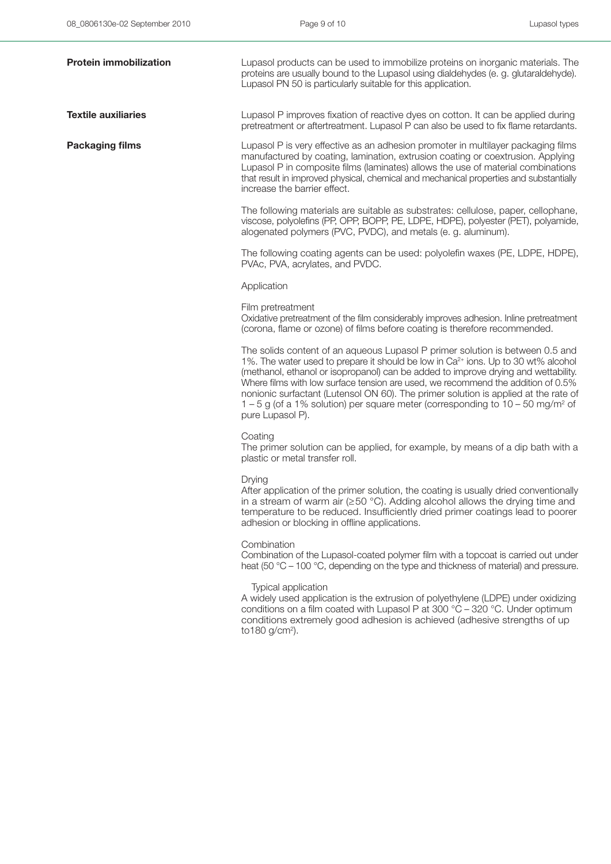| <b>Protein immobilization</b> | Lupasol products can be used to immobilize proteins on inorganic materials. The<br>proteins are usually bound to the Lupasol using dialdehydes (e. g. glutaraldehyde).<br>Lupasol PN 50 is particularly suitable for this application.                                                                                                                                                                                                                                                                                                                            |
|-------------------------------|-------------------------------------------------------------------------------------------------------------------------------------------------------------------------------------------------------------------------------------------------------------------------------------------------------------------------------------------------------------------------------------------------------------------------------------------------------------------------------------------------------------------------------------------------------------------|
| <b>Textile auxiliaries</b>    | Lupasol P improves fixation of reactive dyes on cotton. It can be applied during<br>pretreatment or aftertreatment. Lupasol P can also be used to fix flame retardants.                                                                                                                                                                                                                                                                                                                                                                                           |
| <b>Packaging films</b>        | Lupasol P is very effective as an adhesion promoter in multilayer packaging films<br>manufactured by coating, lamination, extrusion coating or coextrusion. Applying<br>Lupasol P in composite films (laminates) allows the use of material combinations<br>that result in improved physical, chemical and mechanical properties and substantially<br>increase the barrier effect.                                                                                                                                                                                |
|                               | The following materials are suitable as substrates: cellulose, paper, cellophane,<br>viscose, polyolefins (PP, OPP, BOPP, PE, LDPE, HDPE), polyester (PET), polyamide,<br>alogenated polymers (PVC, PVDC), and metals (e. g. aluminum).                                                                                                                                                                                                                                                                                                                           |
|                               | The following coating agents can be used: polyolefin waxes (PE, LDPE, HDPE),<br>PVAc, PVA, acrylates, and PVDC.                                                                                                                                                                                                                                                                                                                                                                                                                                                   |
|                               | Application                                                                                                                                                                                                                                                                                                                                                                                                                                                                                                                                                       |
|                               | Film pretreatment<br>Oxidative pretreatment of the film considerably improves adhesion. Inline pretreatment<br>(corona, flame or ozone) of films before coating is therefore recommended.                                                                                                                                                                                                                                                                                                                                                                         |
|                               | The solids content of an aqueous Lupasol P primer solution is between 0.5 and<br>1%. The water used to prepare it should be low in Ca <sup>2+</sup> ions. Up to 30 wt% alcohol<br>(methanol, ethanol or isopropanol) can be added to improve drying and wettability.<br>Where films with low surface tension are used, we recommend the addition of 0.5%<br>nonionic surfactant (Lutensol ON 60). The primer solution is applied at the rate of<br>$1-5$ g (of a 1% solution) per square meter (corresponding to $10-50$ mg/m <sup>2</sup> of<br>pure Lupasol P). |
|                               | Coating<br>The primer solution can be applied, for example, by means of a dip bath with a<br>plastic or metal transfer roll.                                                                                                                                                                                                                                                                                                                                                                                                                                      |
|                               | Drying<br>After application of the primer solution, the coating is usually dried conventionally<br>in a stream of warm air $(\geq 50 \degree C)$ . Adding alcohol allows the drying time and<br>temperature to be reduced. Insufficiently dried primer coatings lead to poorer<br>adhesion or blocking in offline applications.                                                                                                                                                                                                                                   |
|                               | Combination<br>Combination of the Lupasol-coated polymer film with a topcoat is carried out under<br>heat (50 °C – 100 °C, depending on the type and thickness of material) and pressure.                                                                                                                                                                                                                                                                                                                                                                         |
|                               | Typical application<br>A widely used application is the extrusion of polyethylene (LDPE) under oxidizing<br>conditions on a film coated with Lupasol P at 300 °C - 320 °C. Under optimum<br>conditions extremely good adhesion is achieved (adhesive strengths of up<br>to180 g/cm <sup>2</sup> ).                                                                                                                                                                                                                                                                |
|                               |                                                                                                                                                                                                                                                                                                                                                                                                                                                                                                                                                                   |
|                               |                                                                                                                                                                                                                                                                                                                                                                                                                                                                                                                                                                   |